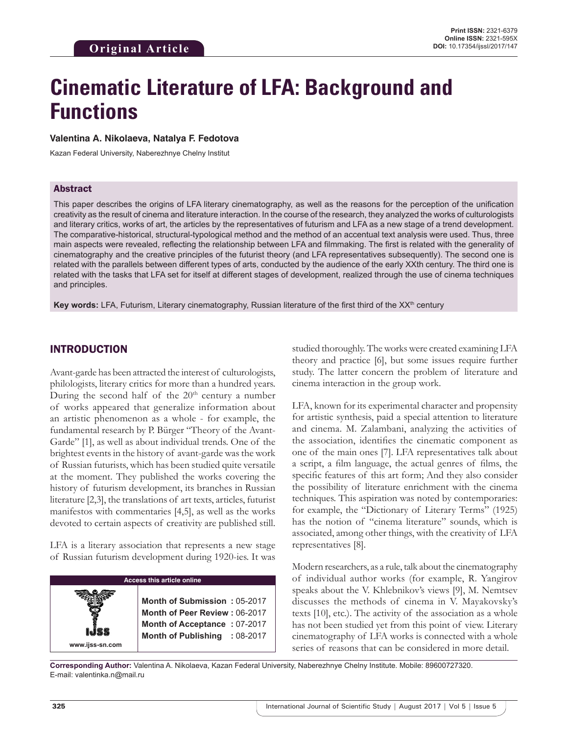# **Cinematic Literature of LFA: Background and Functions**

#### **Valentina A. Nikolaeva, Natalya F. Fedotova**

Kazan Federal University, Naberezhnye Chelny Institut

#### Abstract

This paper describes the origins of LFA literary cinematography, as well as the reasons for the perception of the unification creativity as the result of cinema and literature interaction. In the course of the research, they analyzed the works of culturologists and literary critics, works of art, the articles by the representatives of futurism and LFA as a new stage of a trend development. The comparative-historical, structural-typological method and the method of an accentual text analysis were used. Thus, three main aspects were revealed, reflecting the relationship between LFA and filmmaking. The first is related with the generality of cinematography and the creative principles of the futurist theory (and LFA representatives subsequently). The second one is related with the parallels between different types of arts, conducted by the audience of the early XXth century. The third one is related with the tasks that LFA set for itself at different stages of development, realized through the use of cinema techniques and principles.

Key words: LFA, Futurism, Literary cinematography, Russian literature of the first third of the XX<sup>th</sup> century

#### INTRODUCTION

Avant-garde has been attracted the interest of culturologists, philologists, literary critics for more than a hundred years. During the second half of the  $20<sup>th</sup>$  century a number of works appeared that generalize information about an artistic phenomenon as a whole - for example, the fundamental research by P. Bürger "Theory of the Avant-Garde" [1], as well as about individual trends. One of the brightest events in the history of avant-garde was the work of Russian futurists, which has been studied quite versatile at the moment. They published the works covering the history of futurism development, its branches in Russian literature [2,3], the translations of art texts, articles, futurist manifestos with commentaries [4,5], as well as the works devoted to certain aspects of creativity are published still.

LFA is a literary association that represents a new stage of Russian futurism development during 1920-ies. It was

| <b>Access this article online</b> |                                                                                                                                |
|-----------------------------------|--------------------------------------------------------------------------------------------------------------------------------|
| www.ijss-sn.com                   | Month of Submission: 05-2017<br>Month of Peer Review: 06-2017<br>Month of Acceptance: 07-2017<br>Month of Publishing : 08-2017 |

studied thoroughly. The works were created examining LFA theory and practice [6], but some issues require further study. The latter concern the problem of literature and cinema interaction in the group work.

LFA, known for its experimental character and propensity for artistic synthesis, paid a special attention to literature and cinema. M. Zalambani, analyzing the activities of the association, identifies the cinematic component as one of the main ones [7]. LFA representatives talk about a script, a film language, the actual genres of films, the specific features of this art form; And they also consider the possibility of literature enrichment with the cinema techniques. This aspiration was noted by contemporaries: for example, the "Dictionary of Literary Terms" (1925) has the notion of "cinema literature" sounds, which is associated, among other things, with the creativity of LFA representatives [8].

Modern researchers, as a rule, talk about the cinematography of individual author works (for example, R. Yangirov speaks about the V. Khlebnikov's views [9], M. Nemtsev discusses the methods of cinema in V. Mayakovsky's texts [10], etc.). The activity of the association as a whole has not been studied yet from this point of view. Literary cinematography of LFA works is connected with a whole series of reasons that can be considered in more detail.

**Corresponding Author:** Valentina A. Nikolaeva, Kazan Federal University, Naberezhnye Chelny Institute. Mobile: 89600727320. E-mail: valentinka.n@mail.ru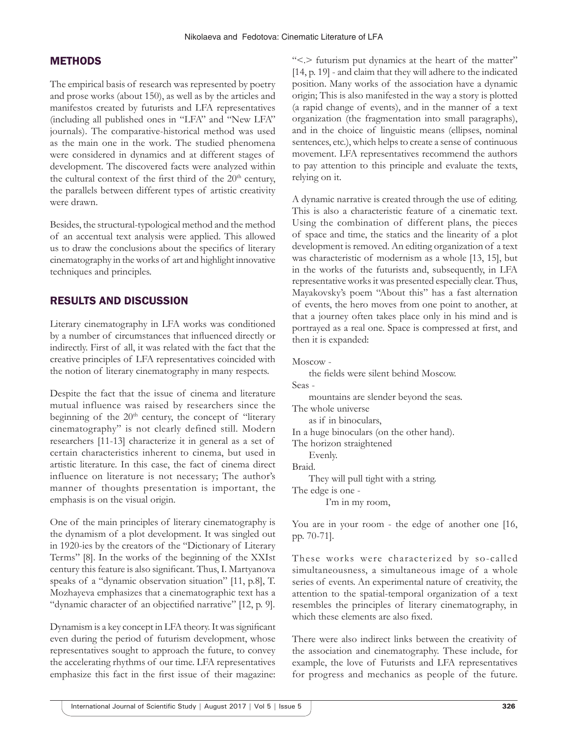#### **METHODS**

The empirical basis of research was represented by poetry and prose works (about 150), as well as by the articles and manifestos created by futurists and LFA representatives (including all published ones in "LFA" and "New LFA" journals). The comparative-historical method was used as the main one in the work. The studied phenomena were considered in dynamics and at different stages of development. The discovered facts were analyzed within the cultural context of the first third of the  $20<sup>th</sup>$  century, the parallels between different types of artistic creativity were drawn.

Besides, the structural-typological method and the method of an accentual text analysis were applied. This allowed us to draw the conclusions about the specifics of literary cinematography in the works of art and highlight innovative techniques and principles.

### RESULTS AND DISCUSSION

Literary cinematography in LFA works was conditioned by a number of circumstances that influenced directly or indirectly. First of all, it was related with the fact that the creative principles of LFA representatives coincided with the notion of literary cinematography in many respects.

Despite the fact that the issue of cinema and literature mutual influence was raised by researchers since the beginning of the 20<sup>th</sup> century, the concept of "literary cinematography" is not clearly defined still. Modern researchers [11-13] characterize it in general as a set of certain characteristics inherent to cinema, but used in artistic literature. In this case, the fact of cinema direct influence on literature is not necessary; The author's manner of thoughts presentation is important, the emphasis is on the visual origin.

One of the main principles of literary cinematography is the dynamism of a plot development. It was singled out in 1920-ies by the creators of the "Dictionary of Literary Terms" [8]. In the works of the beginning of the XXIst century this feature is also significant. Thus, I. Martyanova speaks of a "dynamic observation situation" [11, p.8], T. Mozhayeva emphasizes that a cinematographic text has a "dynamic character of an objectified narrative" [12, p. 9].

Dynamism is a key concept in LFA theory. It was significant even during the period of futurism development, whose representatives sought to approach the future, to convey the accelerating rhythms of our time. LFA representatives emphasize this fact in the first issue of their magazine: "<.> futurism put dynamics at the heart of the matter" [14, p. 19] - and claim that they will adhere to the indicated position. Many works of the association have a dynamic origin; This is also manifested in the way a story is plotted (a rapid change of events), and in the manner of a text organization (the fragmentation into small paragraphs), and in the choice of linguistic means (ellipses, nominal sentences, etc.), which helps to create a sense of continuous movement. LFA representatives recommend the authors to pay attention to this principle and evaluate the texts, relying on it.

A dynamic narrative is created through the use of editing. This is also a characteristic feature of a cinematic text. Using the combination of different plans, the pieces of space and time, the statics and the linearity of a plot development is removed. An editing organization of a text was characteristic of modernism as a whole [13, 15], but in the works of the futurists and, subsequently, in LFA representative works it was presented especially clear. Thus, Mayakovsky's poem "About this" has a fast alternation of events, the hero moves from one point to another, at that a journey often takes place only in his mind and is portrayed as a real one. Space is compressed at first, and then it is expanded:

Moscow -

the fields were silent behind Moscow. Seas mountains are slender beyond the seas. The whole universe as if in binoculars, In a huge binoculars (on the other hand). The horizon straightened Evenly. Braid. They will pull tight with a string. The edge is one - I'm in my room,

You are in your room - the edge of another one [16, pp. 70-71].

These works were characterized by so-called simultaneousness, a simultaneous image of a whole series of events. An experimental nature of creativity, the attention to the spatial-temporal organization of a text resembles the principles of literary cinematography, in which these elements are also fixed.

There were also indirect links between the creativity of the association and cinematography. These include, for example, the love of Futurists and LFA representatives for progress and mechanics as people of the future.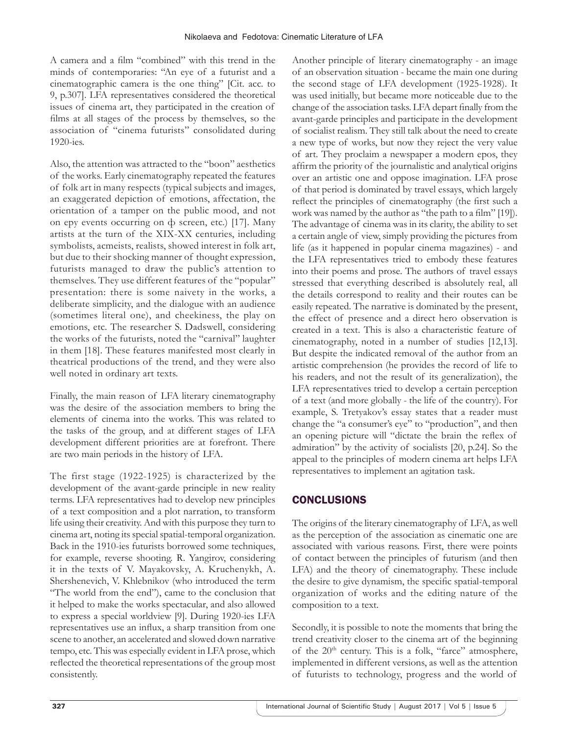A camera and a film "combined" with this trend in the minds of contemporaries: "An eye of a futurist and a cinematographic camera is the one thing" [Cit. acc. to 9, p.307]. LFA representatives considered the theoretical issues of cinema art, they participated in the creation of films at all stages of the process by themselves, so the association of "cinema futurists" consolidated during 1920-ies.

Also, the attention was attracted to the "boon" aesthetics of the works. Early cinematography repeated the features of folk art in many respects (typical subjects and images, an exaggerated depiction of emotions, affectation, the orientation of a tamper on the public mood, and not on еру events occurring on ф screen, etc.) [17]. Many artists at the turn of the XIX-XX centuries, including symbolists, acmeists, realists, showed interest in folk art, but due to their shocking manner of thought expression, futurists managed to draw the public's attention to themselves. They use different features of the "popular" presentation: there is some naivety in the works, a deliberate simplicity, and the dialogue with an audience (sometimes literal one), and cheekiness, the play on emotions, etc. The researcher S. Dadswell, considering the works of the futurists, noted the "carnival" laughter in them [18]. These features manifested most clearly in theatrical productions of the trend, and they were also well noted in ordinary art texts.

Finally, the main reason of LFA literary cinematography was the desire of the association members to bring the elements of cinema into the works. This was related to the tasks of the group, and at different stages of LFA development different priorities are at forefront. There are two main periods in the history of LFA.

The first stage (1922-1925) is characterized by the development of the avant-garde principle in new reality terms. LFA representatives had to develop new principles of a text composition and a plot narration, to transform life using their creativity. And with this purpose they turn to cinema art, noting its special spatial-temporal organization. Back in the 1910-ies futurists borrowed some techniques, for example, reverse shooting. R. Yangirov, considering it in the texts of V. Mayakovsky, A. Kruchenykh, A. Shershenevich, V. Khlebnikov (who introduced the term "The world from the end"), came to the conclusion that it helped to make the works spectacular, and also allowed to express a special worldview [9]. During 1920-ies LFA representatives use an influx, a sharp transition from one scene to another, an accelerated and slowed down narrative tempo, etc. This was especially evident in LFA prose, which reflected the theoretical representations of the group most consistently.

Another principle of literary cinematography - an image of an observation situation - became the main one during the second stage of LFA development (1925-1928). It was used initially, but became more noticeable due to the change of the association tasks. LFA depart finally from the avant-garde principles and participate in the development of socialist realism. They still talk about the need to create a new type of works, but now they reject the very value of art. They proclaim a newspaper a modern epos, they affirm the priority of the journalistic and analytical origins over an artistic one and oppose imagination. LFA prose of that period is dominated by travel essays, which largely reflect the principles of cinematography (the first such a work was named by the author as "the path to a film" [19]). The advantage of cinema was in its clarity, the ability to set a certain angle of view, simply providing the pictures from life (as it happened in popular cinema magazines) - and the LFA representatives tried to embody these features into their poems and prose. The authors of travel essays stressed that everything described is absolutely real, all the details correspond to reality and their routes can be easily repeated. The narrative is dominated by the present, the effect of presence and a direct hero observation is created in a text. This is also a characteristic feature of cinematography, noted in a number of studies [12,13]. But despite the indicated removal of the author from an artistic comprehension (he provides the record of life to his readers, and not the result of its generalization), the LFA representatives tried to develop a certain perception of a text (and more globally - the life of the country). For example, S. Tretyakov's essay states that a reader must change the "a consumer's eye" to "production", and then an opening picture will "dictate the brain the reflex of admiration" by the activity of socialists [20, p.24]. So the appeal to the principles of modern cinema art helps LFA representatives to implement an agitation task.

## **CONCLUSIONS**

The origins of the literary cinematography of LFA, as well as the perception of the association as cinematic one are associated with various reasons. First, there were points of contact between the principles of futurism (and then LFA) and the theory of cinematography. These include the desire to give dynamism, the specific spatial-temporal organization of works and the editing nature of the composition to a text.

Secondly, it is possible to note the moments that bring the trend creativity closer to the cinema art of the beginning of the  $20<sup>th</sup>$  century. This is a folk, "farce" atmosphere, implemented in different versions, as well as the attention of futurists to technology, progress and the world of